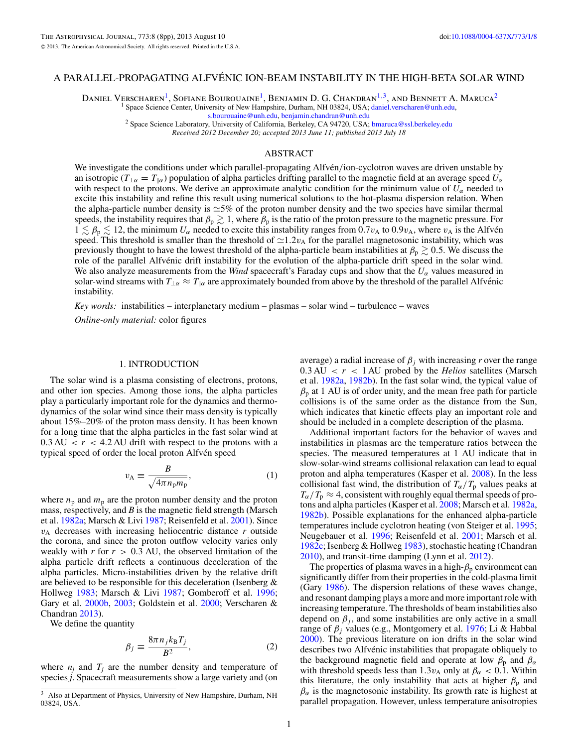# A PARALLEL-PROPAGATING ALFVENIC ION-BEAM INSTABILITY IN THE HIGH-BETA SOLAR WIND ´

Daniel Verscharen<sup>1</sup>, Sofiane Bourouaine<sup>1</sup>, Benjamin D. G. Chandran<sup>1,3</sup>, and Bennett A. Maruca<sup>2</sup>

<sup>1</sup> Space Science Center, University of New Hampshire, Durham, NH 03824, USA; [daniel.verscharen@unh.edu,](mailto:daniel.verscharen@unh.edu)

[s.bourouaine@unh.edu,](mailto:s.bourouaine@unh.edu) [benjamin.chandran@unh.edu](mailto:benjamin.chandran@unh.edu) <sup>2</sup> Space Science Laboratory, University of California, Berkeley, CA 94720, USA; [bmaruca@ssl.berkeley.edu](mailto:bmaruca@ssl.berkeley.edu)

*Received 2012 December 20; accepted 2013 June 11; published 2013 July 18*

#### ABSTRACT

We investigate the conditions under which parallel-propagating Alfvén/ion-cyclotron waves are driven unstable by an isotropic ( $T_{\perp \alpha} = T_{\parallel \alpha}$ ) population of alpha particles drifting parallel to the magnetic field at an average speed  $U_{\alpha}$ with respect to the protons. We derive an approximate analytic condition for the minimum value of  $U_{\alpha}$  needed to excite this instability and refine this result using numerical solutions to the hot-plasma dispersion relation. When the alpha-particle number density is  $\approx$ 5% of the proton number density and the two species have similar thermal speeds, the instability requires that  $\beta_p\gtrsim 1,$  where  $\beta_p$  is the ratio of the proton pressure to the magnetic pressure. For  $1 \lesssim \beta_p \lesssim 12$ , the minimum  $U_\alpha$  needed to excite this instability ranges from 0.7*v*<sub>A</sub> to 0.9*v*<sub>A</sub>, where *v*<sub>A</sub> is the Alfvén speed. This threshold is smaller than the threshold of  $\simeq$ 1.2*v*<sub>A</sub> for the parallel magnetosonic instability, which was previously thought to have the lowest threshold of the alpha-particle beam instabilities at  $\beta_p\gtrsim 0.5.$  We discuss the role of the parallel Alfvénic drift instability for the evolution of the alpha-particle drift speed in the solar wind. We also analyze measurements from the *Wind* spacecraft's Faraday cups and show that the *Uα* values measured in solar-wind streams with  $T_{\perp \alpha} \approx T_{\parallel \alpha}$  are approximately bounded from above by the threshold of the parallel Alfvénic instability.

*Key words:* instabilities – interplanetary medium – plasmas – solar wind – turbulence – waves

*Online-only material:* color figures

# 1. INTRODUCTION

The solar wind is a plasma consisting of electrons, protons, and other ion species. Among those ions, the alpha particles play a particularly important role for the dynamics and thermodynamics of the solar wind since their mass density is typically about 15%–20% of the proton mass density. It has been known for a long time that the alpha particles in the fast solar wind at  $0.3 \text{ AU} < r < 4.2 \text{ AU}$  drift with respect to the protons with a typical speed of order the local proton Alfvén speed

$$
v_{\rm A} \equiv \frac{B}{\sqrt{4\pi n_{\rm p} m_{\rm p}}},\tag{1}
$$

where  $n_p$  and  $m_p$  are the proton number density and the proton mass, respectively, and *B* is the magnetic field strength (Marsch et al. [1982a;](#page-7-0) Marsch & Livi [1987;](#page-6-0) Reisenfeld et al. [2001\)](#page-7-0). Since  $v_A$  decreases with increasing heliocentric distance  $r$  outside the corona, and since the proton outflow velocity varies only weakly with  $r$  for  $r > 0.3$  AU, the observed limitation of the alpha particle drift reflects a continuous deceleration of the alpha particles. Micro-instabilities driven by the relative drift are believed to be responsible for this deceleration (Isenberg & Hollweg [1983;](#page-6-0) Marsch & Livi [1987;](#page-6-0) Gomberoff et al. [1996;](#page-6-0) Gary et al. [2000b,](#page-6-0) [2003;](#page-6-0) Goldstein et al. [2000;](#page-6-0) Verscharen & Chandran [2013\)](#page-7-0).

We define the quantity

$$
\beta_j \equiv \frac{8\pi n_j k_B T_j}{B^2},\tag{2}
$$

where  $n_i$  and  $T_i$  are the number density and temperature of species *j*. Spacecraft measurements show a large variety and (on

average) a radial increase of  $\beta_i$  with increasing *r* over the range  $0.3 \text{ AU} < r < 1 \text{ AU}$  probed by the *Helios* satellites (Marsch et al. [1982a,](#page-7-0) [1982b\)](#page-7-0). In the fast solar wind, the typical value of  $\beta_p$  at 1 AU is of order unity, and the mean free path for particle collisions is of the same order as the distance from the Sun, which indicates that kinetic effects play an important role and should be included in a complete description of the plasma.

Additional important factors for the behavior of waves and instabilities in plasmas are the temperature ratios between the species. The measured temperatures at 1 AU indicate that in slow-solar-wind streams collisional relaxation can lead to equal proton and alpha temperatures (Kasper et al. [2008\)](#page-6-0). In the less collisional fast wind, the distribution of  $T_\alpha/T_p$  values peaks at  $T_\alpha/T_p \approx 4$ , consistent with roughly equal thermal speeds of protons and alpha particles (Kasper et al. [2008;](#page-6-0) Marsch et al. [1982a,](#page-7-0) [1982b\)](#page-7-0). Possible explanations for the enhanced alpha-particle temperatures include cyclotron heating (von Steiger et al. [1995;](#page-7-0) Neugebauer et al. [1996;](#page-7-0) Reisenfeld et al. [2001;](#page-7-0) Marsch et al. [1982c;](#page-6-0) Isenberg & Hollweg [1983\)](#page-6-0), stochastic heating (Chandran [2010\)](#page-6-0), and transit-time damping (Lynn et al. [2012\)](#page-6-0).

The properties of plasma waves in a high- $\beta_p$  environment can significantly differ from their properties in the cold-plasma limit (Gary [1986\)](#page-6-0). The dispersion relations of these waves change, and resonant damping plays a more and more important role with increasing temperature. The thresholds of beam instabilities also depend on  $\beta_i$ , and some instabilities are only active in a small range of *βj* values (e.g., Montgomery et al. [1976;](#page-7-0) Li & Habbal [2000\)](#page-6-0). The previous literature on ion drifts in the solar wind describes two Alfvénic instabilities that propagate obliquely to the background magnetic field and operate at low  $\beta_p$  and  $\beta_\alpha$ with threshold speeds less than 1.3 $v_A$  only at  $\beta_\alpha$  < 0.1. Within this literature, the only instability that acts at higher  $\beta_p$  and  $\beta_{\alpha}$  is the magnetosonic instability. Its growth rate is highest at parallel propagation. However, unless temperature anisotropies

Also at Department of Physics, University of New Hampshire, Durham, NH 03824, USA.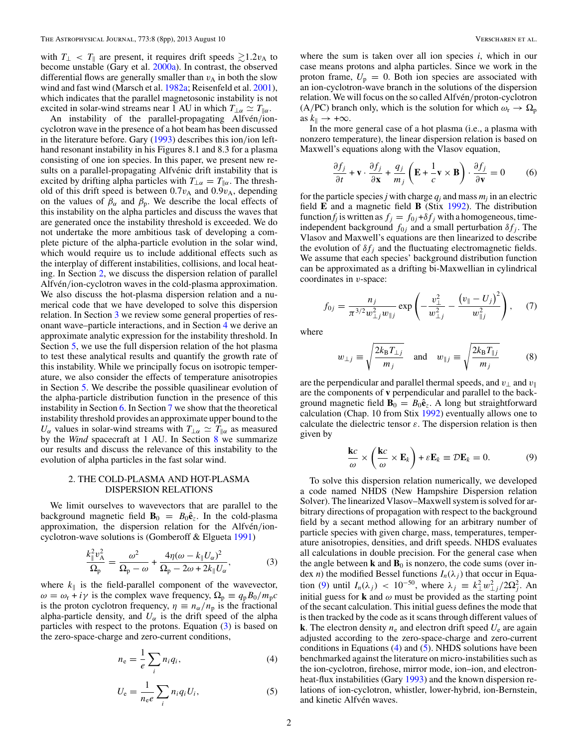<span id="page-1-0"></span>with  $T_{\perp} < T_{\parallel}$  are present, it requires drift speeds  $\gtrsim 1.2v_{\rm A}$  to become unstable (Gary et al. [2000a\)](#page-6-0). In contrast, the observed differential flows are generally smaller than  $v_A$  in both the slow wind and fast wind (Marsch et al. [1982a;](#page-7-0) Reisenfeld et al. [2001\)](#page-7-0), which indicates that the parallel magnetosonic instability is not excited in solar-wind streams near 1 AU in which  $T_{\perp \alpha} \simeq T_{\parallel \alpha}$ .

An instability of the parallel-propagating Alfvén/ioncyclotron wave in the presence of a hot beam has been discussed in the literature before. Gary [\(1993\)](#page-6-0) describes this ion*/*ion lefthand resonant instability in his Figures 8.1 and 8.3 for a plasma consisting of one ion species. In this paper, we present new results on a parallel-propagating Alfvénic drift instability that is excited by drifting alpha particles with  $T_{\perp \alpha} = T_{\parallel \alpha}$ . The threshold of this drift speed is between  $0.7v_A$  and  $0.9v_A$ , depending on the values of  $\beta_{\alpha}$  and  $\beta_{p}$ . We describe the local effects of this instability on the alpha particles and discuss the waves that are generated once the instability threshold is exceeded. We do not undertake the more ambitious task of developing a complete picture of the alpha-particle evolution in the solar wind, which would require us to include additional effects such as the interplay of different instabilities, collisions, and local heating. In Section 2, we discuss the dispersion relation of parallel Alfvén/ion-cyclotron waves in the cold-plasma approximation. We also discuss the hot-plasma dispersion relation and a numerical code that we have developed to solve this dispersion relation. In Section [3](#page-2-0) we review some general properties of resonant wave–particle interactions, and in Section [4](#page-2-0) we derive an approximate analytic expression for the instability threshold. In Section [5,](#page-3-0) we use the full dispersion relation of the hot plasma to test these analytical results and quantify the growth rate of this instability. While we principally focus on isotropic temperature, we also consider the effects of temperature anisotropies in Section [5.](#page-3-0) We describe the possible quasilinear evolution of the alpha-particle distribution function in the presence of this instability in Section [6.](#page-5-0) In Section [7](#page-5-0) we show that the theoretical instability threshold provides an approximate upper bound to the *U<sub>α</sub>* values in solar-wind streams with  $T_{\perp \alpha} \simeq T_{\parallel \alpha}$  as measured by the *Wind* spacecraft at 1 AU. In Section [8](#page-6-0) we summarize our results and discuss the relevance of this instability to the evolution of alpha particles in the fast solar wind.

### 2. THE COLD-PLASMA AND HOT-PLASMA DISPERSION RELATIONS

We limit ourselves to wavevectors that are parallel to the background magnetic field  $\mathbf{B}_0 = B_0 \hat{\mathbf{e}}_z$ . In the cold-plasma approximation, the dispersion relation for the Alfven/ioncyclotron-wave solutions is (Gomberoff & Elgueta [1991\)](#page-6-0)

$$
\frac{k_{\parallel}^2 v_{\rm A}^2}{\Omega_{\rm p}} = \frac{\omega^2}{\Omega_{\rm p} - \omega} + \frac{4\eta(\omega - k_{\parallel} U_{\alpha})^2}{\Omega_{\rm p} - 2\omega + 2k_{\parallel} U_{\alpha}},\tag{3}
$$

where  $k_{\parallel}$  is the field-parallel component of the wavevector,  $\omega = \omega_r + i\gamma$  is the complex wave frequency,  $\Omega_p \equiv q_p B_0 / m_p c$ is the proton cyclotron frequency,  $\eta \equiv n_{\alpha}/n_{\rm p}$  is the fractional alpha-particle density, and  $U_{\alpha}$  is the drift speed of the alpha particles with respect to the protons. Equation (3) is based on the zero-space-charge and zero-current conditions,

$$
n_{\rm e} = \frac{1}{e} \sum_{i} n_i q_i,\tag{4}
$$

$$
U_{\rm e} = \frac{1}{n_{\rm e}e} \sum_{i} n_i q_i U_i, \qquad (5)
$$

where the sum is taken over all ion species *i*, which in our case means protons and alpha particles. Since we work in the proton frame,  $U_p = 0$ . Both ion species are associated with an ion-cyclotron-wave branch in the solutions of the dispersion relation. We will focus on the so called Alfvén/proton-cyclotron  $(A/PC)$  branch only, which is the solution for which  $\omega_r \to \Omega_p$ as  $k_{\parallel} \rightarrow +\infty$ .

In the more general case of a hot plasma (i.e., a plasma with nonzero temperature), the linear dispersion relation is based on Maxwell's equations along with the Vlasov equation,

$$
\frac{\partial f_j}{\partial t} + \mathbf{v} \cdot \frac{\partial f_j}{\partial \mathbf{x}} + \frac{q_j}{m_j} \left( \mathbf{E} + \frac{1}{c} \mathbf{v} \times \mathbf{B} \right) \cdot \frac{\partial f_j}{\partial \mathbf{v}} = 0 \tag{6}
$$

for the particle species *j* with charge  $q_i$  and mass  $m_i$  in an electric field **E** and a magnetic field **B** (Stix [1992\)](#page-7-0). The distribution function *f<sub>j</sub>* is written as  $f_j = f_{0j} + \delta f_j$  with a homogeneous, timeindependent background  $f_{0j}$  and a small perturbation  $\delta f_j$ . The Vlasov and Maxwell's equations are then linearized to describe the evolution of  $\delta f_i$  and the fluctuating electromagnetic fields. We assume that each species' background distribution function can be approximated as a drifting bi-Maxwellian in cylindrical coordinates in *v*-space:

$$
f_{0j} = \frac{n_j}{\pi^{3/2} w_{\perp j}^2 w_{\parallel j}} \exp\left(-\frac{v_{\perp}^2}{w_{\perp j}^2} - \frac{\left(v_{\parallel} - U_j\right)^2}{w_{\parallel j}^2}\right), \quad (7)
$$

where

$$
w_{\perp j} \equiv \sqrt{\frac{2k_{\rm B}T_{\perp j}}{m_j}} \quad \text{and} \quad w_{\parallel j} \equiv \sqrt{\frac{2k_{\rm B}T_{\parallel j}}{m_j}} \tag{8}
$$

are the perpendicular and parallel thermal speeds, and  $v_{\perp}$  and  $v_{\parallel}$ are the components of **v** perpendicular and parallel to the background magnetic field  $\mathbf{B}_0 = B_0 \hat{\mathbf{e}}_z$ . A long but straightforward calculation (Chap. 10 from Stix [1992\)](#page-7-0) eventually allows one to calculate the dielectric tensor *ε*. The dispersion relation is then given by

$$
\frac{\mathbf{k}c}{\omega} \times \left(\frac{\mathbf{k}c}{\omega} \times \mathbf{E}_k\right) + \varepsilon \mathbf{E}_k \equiv \mathcal{D}\mathbf{E}_k = 0. \tag{9}
$$

To solve this dispersion relation numerically, we developed a code named NHDS (New Hampshire Dispersion relation Solver). The linearized Vlasov–Maxwell system is solved for arbitrary directions of propagation with respect to the background field by a secant method allowing for an arbitrary number of particle species with given charge, mass, temperatures, temperature anisotropies, densities, and drift speeds. NHDS evaluates all calculations in double precision. For the general case when the angle between  $\bf{k}$  and  $\bf{B}_0$  is nonzero, the code sums (over index *n*) the modified Bessel functions  $I_n(\lambda_j)$  that occur in Equation (9) until  $I_n(\lambda_j) < 10^{-50}$ , where  $\lambda_j = k_{\perp}^2 w_{\perp j}^2 / 2\Omega_j^2$ . An initial guess for **k** and  $\omega$  must be provided as the starting point of the secant calculation. This initial guess defines the mode that is then tracked by the code as it scans through different values of **k**. The electron density  $n_e$  and electron drift speed  $U_e$  are again adjusted according to the zero-space-charge and zero-current conditions in Equations  $(4)$  and  $(5)$ . NHDS solutions have been benchmarked against the literature on micro-instabilities such as the ion-cyclotron, firehose, mirror mode, ion–ion, and electron-heat-flux instabilities (Gary [1993\)](#page-6-0) and the known dispersion relations of ion-cyclotron, whistler, lower-hybrid, ion-Bernstein, and kinetic Alfvén waves.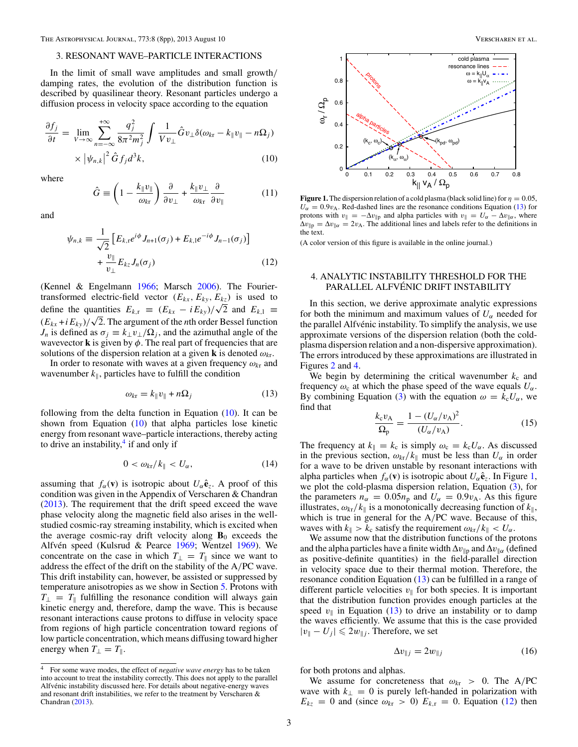### <span id="page-2-0"></span>3. RESONANT WAVE–PARTICLE INTERACTIONS

In the limit of small wave amplitudes and small growth*/* damping rates, the evolution of the distribution function is described by quasilinear theory. Resonant particles undergo a diffusion process in velocity space according to the equation

$$
\frac{\partial f_j}{\partial t} = \lim_{V \to \infty} \sum_{n = -\infty}^{+\infty} \frac{q_j^2}{8\pi^2 m_j^2} \int \frac{1}{V v_\perp} \hat{G} v_\perp \delta(\omega_{kr} - k_{\parallel} v_{\parallel} - n \Omega_j)
$$

$$
\times |\psi_{n,k}|^2 \hat{G} f_j d^3 k,
$$
(10)

where

$$
\hat{G} \equiv \left(1 - \frac{k_{\parallel}v_{\parallel}}{\omega_{k\tau}}\right)\frac{\partial}{\partial v_{\perp}} + \frac{k_{\parallel}v_{\perp}}{\omega_{k\tau}}\frac{\partial}{\partial v_{\parallel}}\tag{11}
$$

and

$$
\psi_{n,k} \equiv \frac{1}{\sqrt{2}} \left[ E_{k,t} e^{i\phi} J_{n+1}(\sigma_j) + E_{k,l} e^{-i\phi} J_{n-1}(\sigma_j) \right]
$$

$$
+ \frac{\nu_{\parallel}}{\nu_{\perp}} E_{kz} J_n(\sigma_j)
$$
(12)

(Kennel & Engelmann [1966;](#page-6-0) Marsch [2006\)](#page-6-0). The Fouriertransformed electric-field vector  $(E_{kx}, E_{ky}, E_{kz})$  is used to define the quantities  $E_{k,r} = (E_{kx} - iE_{ky})/\sqrt{2}$  and  $E_{k,1} =$  $(E_{kx} + iE_{ky})/\sqrt{2}$ . The argument of the *n*th order Bessel function *J<sub>n</sub>* is defined as  $\sigma_j \equiv k_{\perp} v_{\perp}/\Omega_j$ , and the azimuthal angle of the wavevector **k** is given by  $\phi$ . The real part of frequencies that are solutions of the dispersion relation at a given **k** is denoted  $\omega_{kr}$ .

In order to resonate with waves at a given frequency *ωk*<sup>r</sup> and wavenumber  $k_{\parallel}$ , particles have to fulfill the condition

$$
\omega_{k\mathbf{r}} = k_{\parallel} v_{\parallel} + n\Omega_j \tag{13}
$$

following from the delta function in Equation (10). It can be shown from Equation  $(10)$  that alpha particles lose kinetic energy from resonant wave–particle interactions, thereby acting to drive an instability, $4$  if and only if

$$
0 < \omega_{\text{kr}}/k_{\parallel} < U_{\alpha}, \tag{14}
$$

assuming that  $f_{\alpha}(\mathbf{v})$  is isotropic about  $U_{\alpha} \hat{\mathbf{e}}_z$ . A proof of this condition was given in the Appendix of Verscharen & Chandran [\(2013\)](#page-7-0). The requirement that the drift speed exceed the wave phase velocity along the magnetic field also arises in the wellstudied cosmic-ray streaming instability, which is excited when the average cosmic-ray drift velocity along  $\mathbf{B}_0$  exceeds the Alfvén speed (Kulsrud & Pearce [1969;](#page-6-0) Wentzel [1969\)](#page-7-0). We concentrate on the case in which  $T_{\perp} = T_{\parallel}$  since we want to address the effect of the drift on the stability of the A*/*PC wave. This drift instability can, however, be assisted or suppressed by temperature anisotropies as we show in Section [5.](#page-3-0) Protons with  $T_{\perp}$  = *T*<sub>||</sub> fulfilling the resonance condition will always gain kinetic energy and, therefore, damp the wave. This is because resonant interactions cause protons to diffuse in velocity space from regions of high particle concentration toward regions of low particle concentration, which means diffusing toward higher energy when  $T_{\perp} = T_{\parallel}$ .



**Figure 1.** The dispersion relation of a cold plasma (black solid line) for  $\eta = 0.05$ ,  $U_{\alpha} = 0.9v_{\rm A}$ . Red-dashed lines are the resonance conditions Equation (13) for protons with  $v_{\parallel} = -\Delta v_{\parallel p}$  and alpha particles with  $v_{\parallel} = U_{\alpha} - \Delta v_{\parallel \alpha}$ , where  $\Delta v_{\parallel p} = \Delta v_{\parallel \alpha} = 2v_A$ . The additional lines and labels refer to the definitions in the text.

(A color version of this figure is available in the online journal.)

# 4. ANALYTIC INSTABILITY THRESHOLD FOR THE PARALLEL ALFVÉNIC DRIFT INSTABILITY

In this section, we derive approximate analytic expressions for both the minimum and maximum values of  $U_\alpha$  needed for the parallel Alfvénic instability. To simplify the analysis, we use approximate versions of the dispersion relation (both the coldplasma dispersion relation and a non-dispersive approximation). The errors introduced by these approximations are illustrated in Figures [2](#page-3-0) and [4.](#page-4-0)

We begin by determining the critical wavenumber  $k_c$  and frequency  $\omega_c$  at which the phase speed of the wave equals  $U_\alpha$ . By combining Equation [\(3\)](#page-1-0) with the equation  $\omega = k_c U_\alpha$ , we find that

$$
\frac{k_{\rm c}v_{\rm A}}{\Omega_{\rm p}} = \frac{1 - (U_{\alpha}/v_{\rm A})^2}{(U_{\alpha}/v_{\rm A})}.
$$
 (15)

The frequency at  $k_{\parallel} = k_c$  is simply  $\omega_c = k_c U_\alpha$ . As discussed in the previous section,  $\omega_{kr}/k_{\parallel}$  must be less than  $U_{\alpha}$  in order for a wave to be driven unstable by resonant interactions with alpha particles when  $f_\alpha(\mathbf{v})$  is isotropic about  $U_\alpha \hat{\mathbf{e}}_z$ . In Figure 1, we plot the cold-plasma dispersion relation, Equation [\(3\)](#page-1-0), for the parameters  $n_{\alpha} = 0.05n_{\text{p}}$  and  $U_{\alpha} = 0.9v_{\text{A}}$ . As this figure illustrates,  $\omega_{kt}/k_{\parallel}$  is a monotonically decreasing function of  $k_{\parallel}$ , which is true in general for the A*/*PC wave. Because of this, waves with  $k_{\parallel} > k_c$  satisfy the requirement  $\omega_{k} / k_{\parallel} < U_\alpha$ .

We assume now that the distribution functions of the protons and the alpha particles have a finite width  $\Delta v_{\parallel p}$  and  $\Delta v_{\parallel \alpha}$  (defined as positive-definite quantities) in the field-parallel direction in velocity space due to their thermal motion. Therefore, the resonance condition Equation (13) can be fulfilled in a range of different particle velocities  $v_{\parallel}$  for both species. It is important that the distribution function provides enough particles at the speed  $v_{\parallel}$  in Equation (13) to drive an instability or to damp the waves efficiently. We assume that this is the case provided  $|v_{\parallel} - U_j|$  ≤ 2 $w_{\parallel j}$ . Therefore, we set

$$
\Delta v_{\parallel j} = 2w_{\parallel j} \tag{16}
$$

for both protons and alphas.

We assume for concreteness that  $\omega_{kr} > 0$ . The A/PC wave with  $k_{\perp} = 0$  is purely left-handed in polarization with  $E_{kz} = 0$  and (since  $\omega_{kr} > 0$ )  $E_{k,r} = 0$ . Equation (12) then

<sup>&</sup>lt;sup>4</sup> For some wave modes, the effect of *negative wave energy* has to be taken into account to treat the instability correctly. This does not apply to the parallel Alfvénic instability discussed here. For details about negative-energy waves and resonant drift instabilities, we refer to the treatment by Verscharen & Chandran [\(2013\)](#page-7-0).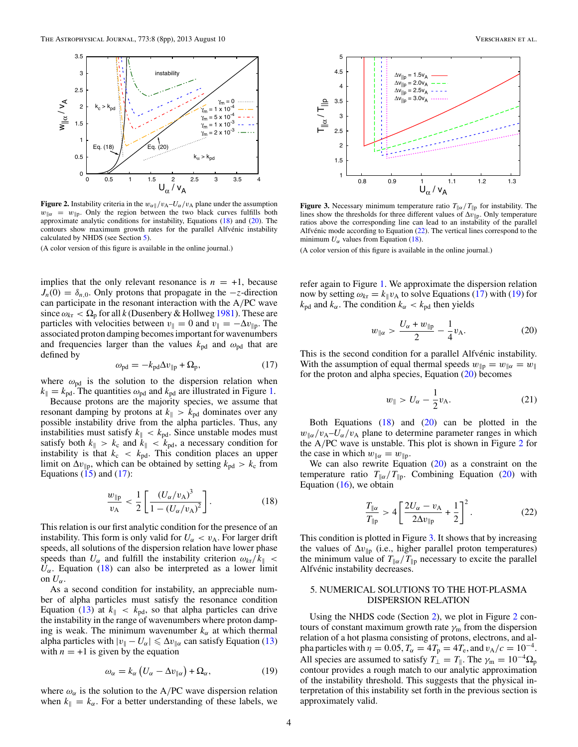<span id="page-3-0"></span>

**Figure 2.** Instability criteria in the  $w_{\alpha\parallel}/v_A-U_{\alpha}/v_A$  plane under the assumption  $w_{\parallel \alpha} = w_{\parallel p}$ . Only the region between the two black curves fulfills both approximate analytic conditions for instability, Equations (18) and (20). The contours show maximum growth rates for the parallel Alfvénic instability calculated by NHDS (see Section 5).

(A color version of this figure is available in the online journal.)

implies that the only relevant resonance is  $n = +1$ , because  $J_n(0) = \delta_{n,0}$ . Only protons that propagate in the  $-z$ -direction can participate in the resonant interaction with the A*/*PC wave since  $\omega_{kr} < \Omega_p$  for all *k* (Dusenbery & Hollweg [1981\)](#page-6-0). These are particles with velocities between  $v_{\parallel} = 0$  and  $v_{\parallel} = -\Delta v_{\parallel p}$ . The associated proton damping becomes important for wavenumbers and frequencies larger than the values  $k_{pd}$  and  $\omega_{pd}$  that are defined by

$$
\omega_{\rm pd} = -k_{\rm pd}\Delta v_{\rm lp} + \Omega_{\rm p},\tag{17}
$$

where  $\omega_{pd}$  is the solution to the dispersion relation when  $k_{\parallel} = k_{\text{pd}}$ . The quantities  $\omega_{\text{pd}}$  and  $k_{\text{pd}}$  are illustrated in Figure [1.](#page-2-0)

Because protons are the majority species, we assume that resonant damping by protons at  $k_{\parallel} > k_{\text{pd}}$  dominates over any possible instability drive from the alpha particles. Thus, any instabilities must satisfy  $k_{\parallel} < k_{\text{pd}}$ . Since unstable modes must satisfy both  $k_{\parallel} > k_c$  and  $k_{\parallel} < k_{\text{pd}}$ , a necessary condition for instability is that  $k_c < k_{pd}$ . This condition places an upper limit on  $\Delta v_{\parallel p}$ , which can be obtained by setting  $k_{\text{pd}} > k_{\text{c}}$  from Equations  $(15)$  and  $(17)$ :

$$
\frac{w_{\parallel p}}{v_{\text{A}}} < \frac{1}{2} \left[ \frac{(U_{\alpha}/v_{\text{A}})^3}{1 - (U_{\alpha}/v_{\text{A}})^2} \right]. \tag{18}
$$

This relation is our first analytic condition for the presence of an instability. This form is only valid for  $U_{\alpha} < v_{A}$ . For larger drift speeds, all solutions of the dispersion relation have lower phase speeds than  $U_{\alpha}$  and fulfill the instability criterion  $\omega_{k\tau}/k_{\parallel}$  <  $U_{\alpha}$ . Equation (18) can also be interpreted as a lower limit on  $U_{\alpha}$ .

As a second condition for instability, an appreciable number of alpha particles must satisfy the resonance condition Equation [\(13\)](#page-2-0) at  $k_{\parallel} < k_{\text{pd}}$ , so that alpha particles can drive the instability in the range of wavenumbers where proton damping is weak. The minimum wavenumber  $k_{\alpha}$  at which thermal alpha particles with  $|v_{\parallel} - U_{\alpha}| \le \Delta v_{\parallel \alpha}$  can satisfy Equation [\(13\)](#page-2-0) with  $n = +1$  is given by the equation

$$
\omega_{\alpha} = k_{\alpha} \left( U_{\alpha} - \Delta v_{\parallel \alpha} \right) + \Omega_{\alpha}, \tag{19}
$$

where  $\omega_{\alpha}$  is the solution to the A/PC wave dispersion relation when  $k_{\parallel} = k_{\alpha}$ . For a better understanding of these labels, we



**Figure 3.** Necessary minimum temperature ratio  $T_{\parallel \alpha}/T_{\parallel p}$  for instability. The lines show the thresholds for three different values of  $\Delta v_{\parallel p}$ . Only temperature ratios above the corresponding line can lead to an instability of the parallel Alfvénic mode according to Equation  $(22)$ . The vertical lines correspond to the minimum  $U_{\alpha}$  values from Equation (18).

(A color version of this figure is available in the online journal.)

refer again to Figure [1.](#page-2-0) We approximate the dispersion relation now by setting  $\omega_{k\tau} = k_{\parallel} v_{A}$  to solve Equations (17) with (19) for  $k_{\text{pd}}$  and  $k_{\alpha}$ . The condition  $k_{\alpha} < k_{\text{pd}}$  then yields

$$
w_{\parallel \alpha} > \frac{U_{\alpha} + w_{\parallel \mathbf{p}}}{2} - \frac{1}{4} v_{\mathbf{A}}.
$$
 (20)

This is the second condition for a parallel Alfvénic instability. With the assumption of equal thermal speeds  $w_{\parallel p} = w_{\parallel \alpha} = w_{\parallel}$ for the proton and alpha species, Equation  $(20)$  becomes

$$
w_{\parallel} > U_{\alpha} - \frac{1}{2}v_{\text{A}}.
$$
 (21)

Both Equations  $(18)$  and  $(20)$  can be plotted in the  $w_{\alpha}/v_A-U_{\alpha}/v_A$  plane to determine parameter ranges in which the A*/*PC wave is unstable. This plot is shown in Figure 2 for the case in which  $w_{\parallel \alpha} = w_{\parallel \mathrm{p}}$ .

We can also rewrite Equation  $(20)$  as a constraint on the temperature ratio  $T_{\parallel \alpha}/T_{\parallel p}$ . Combining Equation (20) with Equation  $(16)$ , we obtain

$$
\frac{T_{\parallel\alpha}}{T_{\parallel p}} > 4 \left[ \frac{2U_{\alpha} - v_{A}}{2\Delta v_{\parallel p}} + \frac{1}{2} \right]^2.
$$
 (22)

This condition is plotted in Figure 3. It shows that by increasing the values of  $\Delta v_{\parallel p}$  (i.e., higher parallel proton temperatures) the minimum value of  $T_{\parallel \alpha}/T_{\parallel p}$  necessary to excite the parallel Alfvénic instability decreases.

# 5. NUMERICAL SOLUTIONS TO THE HOT-PLASMA DISPERSION RELATION

Using the NHDS code (Section [2\)](#page-1-0), we plot in Figure 2 contours of constant maximum growth rate  $\gamma_m$  from the dispersion relation of a hot plasma consisting of protons, electrons, and alpha particles with  $\eta = 0.05$ ,  $T_{\alpha} = 4T_{p} = 4T_{e}$ , and  $v_{A}/c = 10^{-4}$ . All species are assumed to satisfy  $T_{\perp} = T_{\parallel}$ . The  $\gamma_{\rm m} = 10^{-4} \Omega_{\rm p}$ contour provides a rough match to our analytic approximation of the instability threshold. This suggests that the physical interpretation of this instability set forth in the previous section is approximately valid.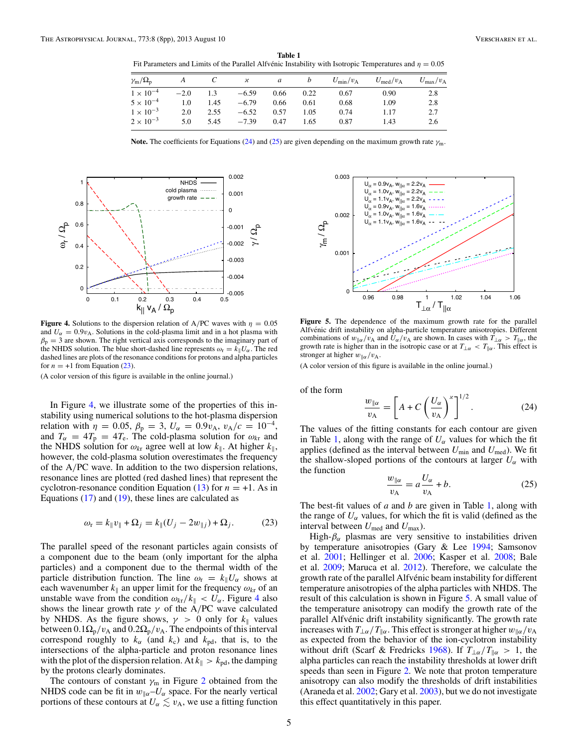<span id="page-4-0"></span>**Table 1** Fit Parameters and Limits of the Parallel Alfvénic Instability with Isotropic Temperatures and  $\eta = 0.05$ 

| $\gamma_{\rm m}/\Omega_{\rm p}$ |        |      | $\boldsymbol{\varkappa}$ | a    |      | $U_{\rm min}/v_{\rm A}$ | $U_{\text{med}}/v_{\text{A}}$ | $U_{\rm max}/v_{\rm A}$ |
|---------------------------------|--------|------|--------------------------|------|------|-------------------------|-------------------------------|-------------------------|
| $1 \times 10^{-4}$              | $-2.0$ | 1.3  | $-6.59$                  | 0.66 | 0.22 | 0.67                    | 0.90                          | 2.8                     |
| $5 \times 10^{-4}$              | 1.0    | 1.45 | $-6.79$                  | 0.66 | 0.61 | 0.68                    | 1.09                          | 2.8                     |
| $1 \times 10^{-3}$              | 2.0    | 2.55 | $-6.52$                  | 0.57 | 1.05 | 0.74                    | 1.17                          | 2.7                     |
| $2 \times 10^{-3}$              | 5.0    | 5.45 | $-7.39$                  | 0.47 | 1.65 | 0.87                    | 1.43                          | 2.6                     |

**Note.** The coefficients for Equations (24) and (25) are given depending on the maximum growth rate *γ*m.



**Figure 4.** Solutions to the dispersion relation of A/PC waves with  $\eta = 0.05$ and  $U_{\alpha} = 0.9v_{\rm A}$ . Solutions in the cold-plasma limit and in a hot plasma with  $\beta_p = 3$  are shown. The right vertical axis corresponds to the imaginary part of the NHDS solution. The blue short-dashed line represents  $\omega_r = k_{\parallel} U_{\alpha}$ . The red dashed lines are plots of the resonance conditions for protons and alpha particles for  $n = +1$  from Equation (23).

(A color version of this figure is available in the online journal.)

In Figure 4, we illustrate some of the properties of this instability using numerical solutions to the hot-plasma dispersion relation with  $\eta = 0.05$ ,  $\beta_p = 3$ ,  $U_\alpha = 0.9 v_A$ ,  $v_A/c = 10^{-4}$ , and  $T_{\alpha} = 4T_{p} = 4T_{e}$ . The cold-plasma solution for  $\omega_{kr}$  and the NHDS solution for  $\omega_{kr}$  agree well at low  $k_{\parallel}$ . At higher  $k_{\parallel}$ , however, the cold-plasma solution overestimates the frequency of the A*/*PC wave. In addition to the two dispersion relations, resonance lines are plotted (red dashed lines) that represent the cyclotron-resonance condition Equation  $(13)$  for  $n = +1$ . As in Equations  $(17)$  and  $(19)$ , these lines are calculated as

$$
\omega_{\rm r} = k_{\|}v_{\|} + \Omega_j = k_{\|}(U_j - 2w_{\|j}) + \Omega_j. \tag{23}
$$

The parallel speed of the resonant particles again consists of a component due to the beam (only important for the alpha particles) and a component due to the thermal width of the particle distribution function. The line  $\omega_r = k_{\parallel} U_{\alpha}$  shows at each wavenumber  $k_{\parallel}$  an upper limit for the frequency  $\omega_{k\tau}$  of an unstable wave from the condition  $\omega_{k} / k_{\parallel} < U_{\alpha}$ . Figure 4 also shows the linear growth rate  $\gamma$  of the A/PC wave calculated by NHDS. As the figure shows,  $\gamma > 0$  only for  $k_{\parallel}$  values between  $0.1\Omega_p/v_A$  and  $0.2\Omega_p/v_A$ . The endpoints of this interval correspond roughly to  $k_{\alpha}$  (and  $k_{\rm c}$ ) and  $k_{\rm pd}$ , that is, to the intersections of the alpha-particle and proton resonance lines with the plot of the dispersion relation. At  $k_{\parallel} > k_{\text{pd}}$ , the damping by the protons clearly dominates.

The contours of constant  $\gamma_m$  in Figure [2](#page-3-0) obtained from the NHDS code can be fit in  $w_{\alpha}$ – $U_{\alpha}$  space. For the nearly vertical portions of these contours at  $U_\alpha \lesssim v_{\rm A}$ , we use a fitting function



**Figure 5.** The dependence of the maximum growth rate for the parallel Alfvénic drift instability on alpha-particle temperature anisotropies. Different combinations of  $w_{\alpha}/v_A$  and  $U_{\alpha}/v_A$  are shown. In cases with  $T_{\alpha} > T_{\alpha}$ , the growth rate is higher than in the isotropic case or at  $T_{\perp\alpha} < T_{\parallel\alpha}$ . This effect is stronger at higher  $w_{\parallel \alpha}/v_{\text{A}}$ .

(A color version of this figure is available in the online journal.)

of the form

$$
\frac{w_{\parallel \alpha}}{v_{\text{A}}} = \left[ A + C \left( \frac{U_{\alpha}}{v_{\text{A}}} \right)^{\alpha} \right]^{1/2} . \tag{24}
$$

The values of the fitting constants for each contour are given in Table 1, along with the range of  $U_\alpha$  values for which the fit applies (defined as the interval between  $U_{\text{min}}$  and  $U_{\text{med}}$ ). We fit the shallow-sloped portions of the contours at larger  $U_{\alpha}$  with the function

$$
\frac{w_{\parallel\alpha}}{v_{\rm A}} = a \frac{U_{\alpha}}{v_{\rm A}} + b. \tag{25}
$$

The best-fit values of *a* and *b* are given in Table 1, along with the range of  $U_\alpha$  values, for which the fit is valid (defined as the interval between  $U_{\text{med}}$  and  $U_{\text{max}}$ ).

High- $\beta_{\alpha}$  plasmas are very sensitive to instabilities driven by temperature anisotropies (Gary & Lee [1994;](#page-6-0) Samsonov et al. [2001;](#page-7-0) Hellinger et al. [2006;](#page-6-0) Kasper et al. [2008;](#page-6-0) Bale et al. [2009;](#page-6-0) Maruca et al. [2012\)](#page-7-0). Therefore, we calculate the growth rate of the parallel Alfvénic beam instability for different temperature anisotropies of the alpha particles with NHDS. The result of this calculation is shown in Figure 5. A small value of the temperature anisotropy can modify the growth rate of the parallel Alfvénic drift instability significantly. The growth rate increases with  $T_{\perp \alpha}/T_{\parallel \alpha}$ . This effect is stronger at higher  $w_{\parallel \alpha}/v_A$ as expected from the behavior of the ion-cyclotron instability without drift (Scarf & Fredricks [1968\)](#page-7-0). If  $T_{\perp\alpha}/T_{\parallel\alpha} > 1$ , the alpha particles can reach the instability thresholds at lower drift speeds than seen in Figure [2.](#page-3-0) We note that proton temperature anisotropy can also modify the thresholds of drift instabilities (Araneda et al. [2002;](#page-6-0) Gary et al. [2003\)](#page-6-0), but we do not investigate this effect quantitatively in this paper.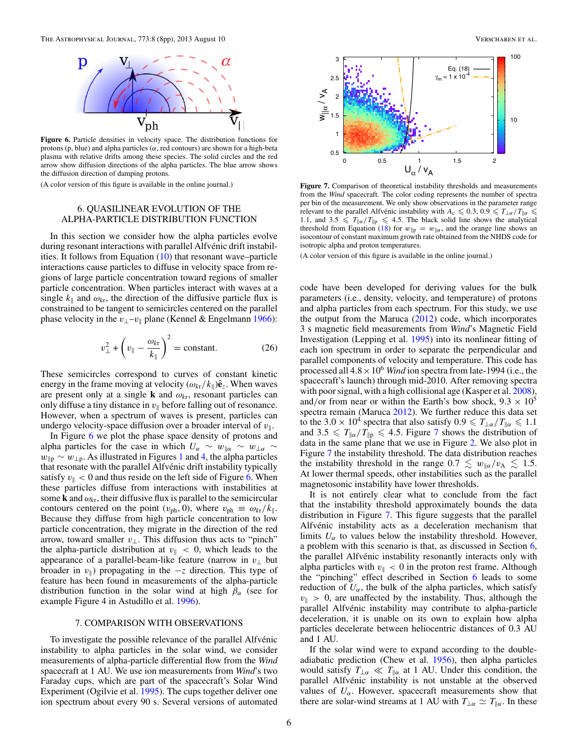<span id="page-5-0"></span>

**Figure 6.** Particle densities in velocity space. The distribution functions for protons (p, blue) and alpha particles (*α*, red contours) are shown for a high-beta plasma with relative drifts among these species. The solid circles and the red arrow show diffusion directions of the alpha particles. The blue arrow shows the diffusion direction of damping protons.

(A color version of this figure is available in the online journal.)

# 6. QUASILINEAR EVOLUTION OF THE ALPHA-PARTICLE DISTRIBUTION FUNCTION

In this section we consider how the alpha particles evolve during resonant interactions with parallel Alfvénic drift instabilities. It follows from Equation [\(10\)](#page-2-0) that resonant wave–particle interactions cause particles to diffuse in velocity space from regions of large particle concentration toward regions of smaller particle concentration. When particles interact with waves at a single  $k_{\parallel}$  and  $\omega_{kr}$ , the direction of the diffusive particle flux is constrained to be tangent to semicircles centered on the parallel phase velocity in the  $v_{\perp}$ – $v_{\parallel}$  plane (Kennel & Engelmann [1966\)](#page-6-0):

$$
v_{\perp}^2 + \left(v_{\parallel} - \frac{\omega_{kr}}{k_{\parallel}}\right)^2 = \text{constant.}
$$
 (26)

These semicircles correspond to curves of constant kinetic energy in the frame moving at velocity  $(\omega_{kr}/k_{\parallel})\hat{\mathbf{e}}_z$ . When waves are present only at a single **k** and  $\omega_{kt}$ , resonant particles can only diffuse a tiny distance in  $v_{\parallel}$  before falling out of resonance. However, when a spectrum of waves is present, particles can undergo velocity-space diffusion over a broader interval of  $v_{\parallel}$ .

In Figure 6 we plot the phase space density of protons and alpha particles for the case in which  $U_{\alpha} \sim w_{\alpha} \sim w_{\alpha}$  $w_{\parallel p} \sim w_{\perp p}$ . As illustrated in Figures [1](#page-2-0) and [4,](#page-4-0) the alpha particles that resonate with the parallel Alfvénic drift instability typically satisfy  $v_{\parallel} < 0$  and thus reside on the left side of Figure 6. When these particles diffuse from interactions with instabilities at some **k** and  $\omega_{kr}$ , their diffusive flux is parallel to the semicircular contours centered on the point  $(v_{ph}, 0)$ , where  $v_{ph} \equiv \omega_{kr}/k_{\parallel}$ . Because they diffuse from high particle concentration to low particle concentration, they migrate in the direction of the red arrow, toward smaller *v*⊥. This diffusion thus acts to "pinch" the alpha-particle distribution at  $v_{\parallel} < 0$ , which leads to the appearance of a parallel-beam-like feature (narrow in  $v_{\perp}$  but broader in  $v_{\parallel}$ ) propagating in the  $-z$  direction. This type of feature has been found in measurements of the alpha-particle distribution function in the solar wind at high  $\beta_{\alpha}$  (see for example Figure 4 in Astudillo et al. [1996\)](#page-6-0).

#### 7. COMPARISON WITH OBSERVATIONS

To investigate the possible relevance of the parallel Alfvénic instability to alpha particles in the solar wind, we consider measurements of alpha-particle differential flow from the *Wind* spacecraft at 1 AU. We use ion measurements from *Wind*'s two Faraday cups, which are part of the spacecraft's Solar Wind Experiment (Ogilvie et al. [1995\)](#page-7-0). The cups together deliver one ion spectrum about every 90 s. Several versions of automated



**Figure 7.** Comparison of theoretical instability thresholds and measurements from the *Wind* spacecraft. The color coding represents the number of spectra per bin of the measurement. We only show observations in the parameter range relevant to the parallel Alfvenic instability with  $A_c \leq 0.3, 0.9 \leq T_{\perp \alpha}/T_{\parallel \alpha} \leq$ 1.1, and  $3.5 \leq T_{\parallel \alpha}/T_{\parallel p} \leq 4.5$ . The black solid line shows the analytical threshold from Equation [\(18\)](#page-3-0) for  $w_{\parallel p} = w_{\parallel \alpha}$ , and the orange line shows an isocontour of constant maximum growth rate obtained from the NHDS code for isotropic alpha and proton temperatures.

(A color version of this figure is available in the online journal.)

code have been developed for deriving values for the bulk parameters (i.e., density, velocity, and temperature) of protons and alpha particles from each spectrum. For this study, we use the output from the Maruca [\(2012\)](#page-7-0) code, which incorporates 3 s magnetic field measurements from *Wind*'s Magnetic Field Investigation (Lepping et al. [1995\)](#page-6-0) into its nonlinear fitting of each ion spectrum in order to separate the perpendicular and parallel components of velocity and temperature. This code has processed all  $4.8 \times 10^6$  *Wind* ion spectra from late-1994 (i.e., the spacecraft's launch) through mid-2010. After removing spectra with poor signal, with a high collisional age (Kasper et al. [2008\)](#page-6-0), and/or from near or within the Earth's bow shock,  $9.3 \times 10^5$ spectra remain (Maruca [2012\)](#page-7-0). We further reduce this data set to the 3.0 × 10<sup>4</sup> spectra that also satisfy  $0.9 \leq T_{\perp \alpha}/T_{\parallel \alpha} \leq 1.1$ and  $3.5 \leq T_{\parallel \alpha}/T_{\parallel p} \leq 4.5$ . Figure 7 shows the distribution of data in the same plane that we use in Figure [2.](#page-3-0) We also plot in Figure 7 the instability threshold. The data distribution reaches the instability threshold in the range  $0.7 \leq w_{\alpha}/v_{A} \leq 1.5$ . At lower thermal speeds, other instabilities such as the parallel magnetosonic instability have lower thresholds.

It is not entirely clear what to conclude from the fact that the instability threshold approximately bounds the data distribution in Figure 7. This figure suggests that the parallel Alfvénic instability acts as a deceleration mechanism that limits  $U_{\alpha}$  to values below the instability threshold. However, a problem with this scenario is that, as discussed in Section 6, the parallel Alfvénic instability resonantly interacts only with alpha particles with  $v_{\parallel} < 0$  in the proton rest frame. Although the "pinching" effect described in Section 6 leads to some reduction of  $U_\alpha$ , the bulk of the alpha particles, which satisfy  $v_{\parallel} > 0$ , are unaffected by the instability. Thus, although the parallel Alfvénic instability may contribute to alpha-particle deceleration, it is unable on its own to explain how alpha particles decelerate between heliocentric distances of 0.3 AU and 1 AU.

If the solar wind were to expand according to the doubleadiabatic prediction (Chew et al. [1956\)](#page-6-0), then alpha particles would satisfy  $T_{\perp \alpha} \ll T_{\parallel \alpha}$  at 1 AU. Under this condition, the parallel Alfvénic instability is not unstable at the observed values of  $U_{\alpha}$ . However, spacecraft measurements show that there are solar-wind streams at 1 AU with  $T_{\perp \alpha} \simeq T_{\parallel \alpha}$ . In these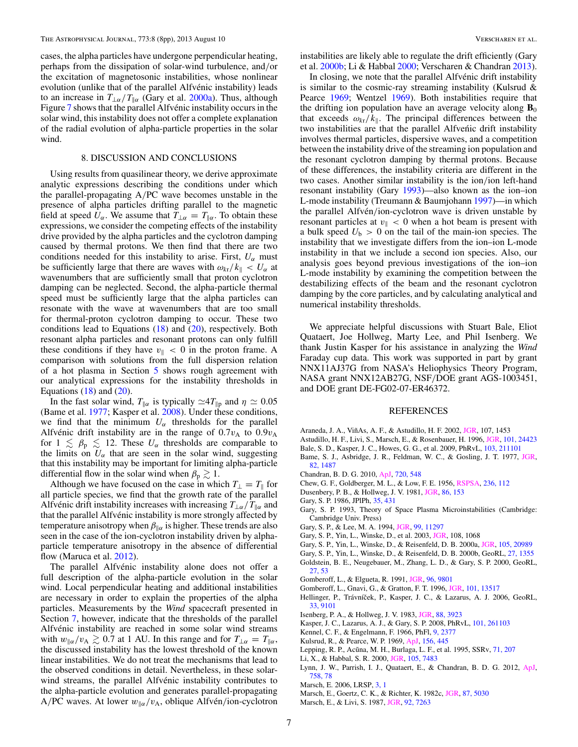<span id="page-6-0"></span>cases, the alpha particles have undergone perpendicular heating, perhaps from the dissipation of solar-wind turbulence, and*/*or the excitation of magnetosonic instabilities, whose nonlinear evolution (unlike that of the parallel Alfvénic instability) leads to an increase in  $T_{\perp\alpha}/T_{\parallel\alpha}$  (Gary et al. 2000a). Thus, although Figure [7](#page-5-0) shows that the parallel Alfvénic instability occurs in the solar wind, this instability does not offer a complete explanation of the radial evolution of alpha-particle properties in the solar wind.

## 8. DISCUSSION AND CONCLUSIONS

Using results from quasilinear theory, we derive approximate analytic expressions describing the conditions under which the parallel-propagating A*/*PC wave becomes unstable in the presence of alpha particles drifting parallel to the magnetic field at speed  $U_\alpha$ . We assume that  $T_{\perp \alpha} = T_{\parallel \alpha}$ . To obtain these expressions, we consider the competing effects of the instability drive provided by the alpha particles and the cyclotron damping caused by thermal protons. We then find that there are two conditions needed for this instability to arise. First,  $U_{\alpha}$  must be sufficiently large that there are waves with  $\omega_{k} / k_{\parallel} < U_{\alpha}$  at wavenumbers that are sufficiently small that proton cyclotron damping can be neglected. Second, the alpha-particle thermal speed must be sufficiently large that the alpha particles can resonate with the wave at wavenumbers that are too small for thermal-proton cyclotron damping to occur. These two conditions lead to Equations [\(18\)](#page-3-0) and [\(20\)](#page-3-0), respectively. Both resonant alpha particles and resonant protons can only fulfill these conditions if they have  $v_{\parallel} < 0$  in the proton frame. A comparison with solutions from the full dispersion relation of a hot plasma in Section [5](#page-3-0) shows rough agreement with our analytical expressions for the instability thresholds in Equations  $(18)$  and  $(20)$ .

In the fast solar wind,  $T_{\parallel \alpha}$  is typically  $\simeq 4T_{\parallel p}$  and  $\eta \simeq 0.05$ (Bame et al. 1977; Kasper et al. 2008). Under these conditions, we find that the minimum  $U_\alpha$  thresholds for the parallel Alfvénic drift instability are in the range of  $0.7v_A$  to  $0.9v_A$ for  $1 \leq \beta_{p} \leq 12$ . These  $U_{\alpha}$  thresholds are comparable to the limits on  $U_{\alpha}$  that are seen in the solar wind, suggesting that this instability may be important for limiting alpha-particle differential flow in the solar wind when  $\beta_p \gtrsim 1$ .

Although we have focused on the case in which  $T_{\perp} = T_{\parallel}$  for all particle species, we find that the growth rate of the parallel Alfvenic drift instability increases with increasing  $T_{\perp \alpha}/T_{\parallel \alpha}$  and that the parallel Alfvénic instability is more strongly affected by temperature anisotropy when  $\beta_{\parallel \alpha}$  is higher. These trends are also seen in the case of the ion-cyclotron instability driven by alphaparticle temperature anisotropy in the absence of differential flow (Maruca et al. [2012\)](#page-7-0).

The parallel Alfvénic instability alone does not offer a full description of the alpha-particle evolution in the solar wind. Local perpendicular heating and additional instabilities are necessary in order to explain the properties of the alpha particles. Measurements by the *Wind* spacecraft presented in Section [7,](#page-5-0) however, indicate that the thresholds of the parallel Alfvénic instability are reached in some solar wind streams with  $w_{\alpha}/v_{A} \gtrsim 0.7$  at 1 AU. In this range and for  $T_{\perp \alpha} = T_{\parallel \alpha}$ , the discussed instability has the lowest threshold of the known linear instabilities. We do not treat the mechanisms that lead to the observed conditions in detail. Nevertheless, in these solarwind streams, the parallel Alfvénic instability contributes to the alpha-particle evolution and generates parallel-propagating A/PC waves. At lower  $w_{\alpha}/v_A$ , oblique Alfvén/ion-cyclotron

instabilities are likely able to regulate the drift efficiently (Gary et al. 2000b; Li & Habbal 2000; Verscharen & Chandran [2013\)](#page-7-0).

In closing, we note that the parallel Alfvénic drift instability is similar to the cosmic-ray streaming instability (Kulsrud & Pearce 1969; Wentzel [1969\)](#page-7-0). Both instabilities require that the drifting ion population have an average velocity along  $\mathbf{B}_0$ that exceeds  $\omega_{k}$ *k*<sub> $\parallel$ </sub>. The principal differences between the two instabilities are that the parallel Alfvenic drift instability ´ involves thermal particles, dispersive waves, and a competition between the instability drive of the streaming ion population and the resonant cyclotron damping by thermal protons. Because of these differences, the instability criteria are different in the two cases. Another similar instability is the ion*/*ion left-hand resonant instability (Gary 1993)—also known as the ion–ion L-mode instability (Treumann & Baumjohann [1997\)](#page-7-0)—in which the parallel Alfvén/ion-cyclotron wave is driven unstable by resonant particles at  $v_{\parallel} < 0$  when a hot beam is present with a bulk speed  $U_b > 0$  on the tail of the main-ion species. The instability that we investigate differs from the ion–ion L-mode instability in that we include a second ion species. Also, our analysis goes beyond previous investigations of the ion–ion L-mode instability by examining the competition between the destabilizing effects of the beam and the resonant cyclotron damping by the core particles, and by calculating analytical and numerical instability thresholds.

We appreciate helpful discussions with Stuart Bale, Eliot Quataert, Joe Hollweg, Marty Lee, and Phil Isenberg. We thank Justin Kasper for his assistance in analyzing the *Wind* Faraday cup data. This work was supported in part by grant NNX11AJ37G from NASA's Heliophysics Theory Program, NASA grant NNX12AB27G, NSF*/*DOE grant AGS-1003451, and DOE grant DE-FG02-07-ER46372.

# REFERENCES

- Araneda, J. A., ViñAs, A. F., & Astudillo, H. F. 2002, [JGR,](http://dx.doi.org/10.1029/2002JA009337) 107, 1453
- Astudillo, H. F., Livi, S., Marsch, E., & Rosenbauer, H. 1996, [JGR,](http://dx.doi.org/10.1029/96JA01009) [101, 24423](http://adsabs.harvard.edu/abs/1996JGR...10124423A)
- Bale, S. D., Kasper, J. C., Howes, G. G., et al. 2009, PhRvL, [103, 211101](http://adsabs.harvard.edu/abs/2009PhRvL.103u1101B)
- Bame, S. J., Asbridge, J. R., Feldman, W. C., & Gosling, J. T. 1977, [JGR,](http://dx.doi.org/10.1029/JA082i010p01487) [82, 1487](http://adsabs.harvard.edu/abs/1977JGR....82.1487B)
- Chandran, B. D. G. 2010, [ApJ,](http://dx.doi.org/10.1088/0004-637X/720/1/548) [720, 548](http://adsabs.harvard.edu/abs/2010ApJ...720..548C)
- Chew, G. F., Goldberger, M. L., & Low, F. E. 1956, [RSPSA,](http://dx.doi.org/10.1098/rspa.1956.0116) [236, 112](http://adsabs.harvard.edu/abs/1956RSPSA.236..112C)
- Dusenbery, P. B., & Hollweg, J. V. 1981, [JGR,](http://dx.doi.org/10.1029/JA086iA01p00153) [86, 153](http://adsabs.harvard.edu/abs/1981JGR....86..153D)
- Gary, S. P. 1986, JPlPh, [35, 431](http://adsabs.harvard.edu/abs/1986JPlPh..35..431G)
- Gary, S. P. 1993, Theory of Space Plasma Microinstabilities (Cambridge: Cambridge Univ. Press)
- Gary, S. P., & Lee, M. A. 1994, [JGR,](http://dx.doi.org/10.1029/94JA00253) [99, 11297](http://adsabs.harvard.edu/abs/1994JGR....9911297G)
- Gary, S. P., Yin, L., Winske, D., et al. 2003, [JGR,](http://dx.doi.org/10.1029/2002JA009654) 108, 1068
- Gary, S. P., Yin, L., Winske, D., & Reisenfeld, D. B. 2000a, [JGR,](http://dx.doi.org/10.1029/2000JA000049) [105, 20989](http://adsabs.harvard.edu/abs/2000JGR...10520989G)
- Gary, S. P., Yin, L., Winske, D., & Reisenfeld, D. B. 2000b, GeoRL, [27, 1355](http://adsabs.harvard.edu/abs/2000GeoRL..27.1355G)
- Goldstein, B. E., Neugebauer, M., Zhang, L. D., & Gary, S. P. 2000, GeoRL, [27, 53](http://adsabs.harvard.edu/abs/2000GeoRL..27...53G)
- Gomberoff, L., & Elgueta, R. 1991, [JGR,](http://dx.doi.org/10.1029/91JA00613) [96, 9801](http://adsabs.harvard.edu/abs/1991JGR....96.9801G)
- Gomberoff, L., Gnavi, G., & Gratton, F. T. 1996, [JGR,](http://dx.doi.org/10.1029/96JA00546) [101, 13517](http://adsabs.harvard.edu/abs/1996JGR...10113517G)
- Hellinger, P., Trávníček, P., Kasper, J. C., & Lazarus, A. J. 2006, GeoRL, [33, 9101](http://adsabs.harvard.edu/abs/2006GeoRL..33.9101H)
- Isenberg, P. A., & Hollweg, J. V. 1983, [JGR,](http://dx.doi.org/10.1029/JA088iA05p03923) [88, 3923](http://adsabs.harvard.edu/abs/1983JGR....88.3923I)
- Kasper, J. C., Lazarus, A. J., & Gary, S. P. 2008, PhRvL, [101, 261103](http://adsabs.harvard.edu/abs/2008PhRvL.101z1103K)
- Kennel, C. F., & Engelmann, F. 1966, PhFl, [9, 2377](http://adsabs.harvard.edu/abs/1966PhFl....9.2377K)
- Kulsrud, R., & Pearce, W. P. 1969, [ApJ,](http://dx.doi.org/10.1086/149981) [156, 445](http://adsabs.harvard.edu/abs/1969ApJ...156..445K)
- Lepping, R. P., Acũna, M. H., Burlaga, L. F., et al. 1995, SSRv, [71, 207](http://adsabs.harvard.edu/abs/1995SSRv...71..207L)
- Li, X., & Habbal, S. R. 2000, [JGR,](http://dx.doi.org/10.1029/1999JA000259) [105, 7483](http://adsabs.harvard.edu/abs/2000JGR...105.7483L)
- Lynn, J. W., Parrish, I. J., Quataert, E., & Chandran, B. D. G. 2012, [ApJ,](http://dx.doi.org/10.1088/0004-637X/758/2/78) [758, 78](http://adsabs.harvard.edu/abs/2012ApJ...758...78L)
- Marsch, E. 2006, LRSP, [3, 1](http://adsabs.harvard.edu/abs/2006LRSP....3....1M)
- Marsch, E., Goertz, C. K., & Richter, K. 1982c, [JGR,](http://dx.doi.org/10.1029/JA087iA07p05030) [87, 5030](http://adsabs.harvard.edu/abs/1982JGR....87.5030M)
- Marsch, E., & Livi, S. 1987, [JGR,](http://dx.doi.org/10.1029/JA092iA07p07263) [92, 7263](http://adsabs.harvard.edu/abs/1987JGR....92.7263M)